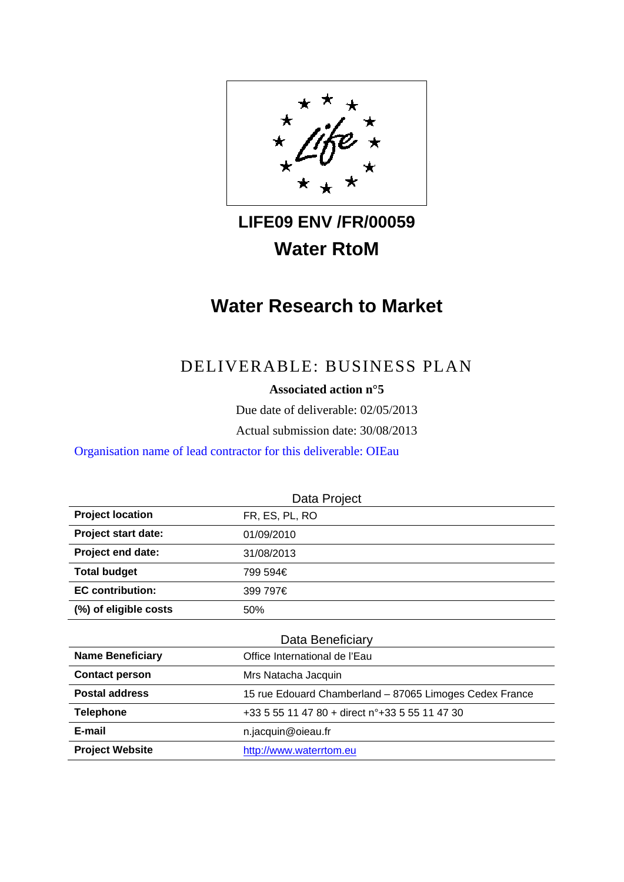

# **LIFE09 ENV /FR/00059 Water RtoM**

# **Water Research to Market**

## DELIVERABLE: BUSINESS PLAN

**Associated action n°5** 

Due date of deliverable: 02/05/2013

Actual submission date: 30/08/2013

Organisation name of lead contractor for this deliverable: OIEau

| Data Project            |                                                         |  |  |  |
|-------------------------|---------------------------------------------------------|--|--|--|
| <b>Project location</b> | FR, ES, PL, RO                                          |  |  |  |
| Project start date:     | 01/09/2010                                              |  |  |  |
| Project end date:       | 31/08/2013                                              |  |  |  |
| <b>Total budget</b>     | 799 594€                                                |  |  |  |
| <b>EC contribution:</b> | 399 797€                                                |  |  |  |
| (%) of eligible costs   | 50%                                                     |  |  |  |
| Data Beneficiary        |                                                         |  |  |  |
| <b>Name Beneficiary</b> | Office International de l'Eau                           |  |  |  |
| <b>Contact person</b>   | Mrs Natacha Jacquin                                     |  |  |  |
| <b>Postal address</b>   | 15 rue Edouard Chamberland - 87065 Limoges Cedex France |  |  |  |
| <b>Telephone</b>        | +33 5 55 11 47 80 + direct n°+33 5 55 11 47 30          |  |  |  |
| E-mail                  | n.jacquin@oieau.fr                                      |  |  |  |
| <b>Project Website</b>  | http://www.waterrtom.eu                                 |  |  |  |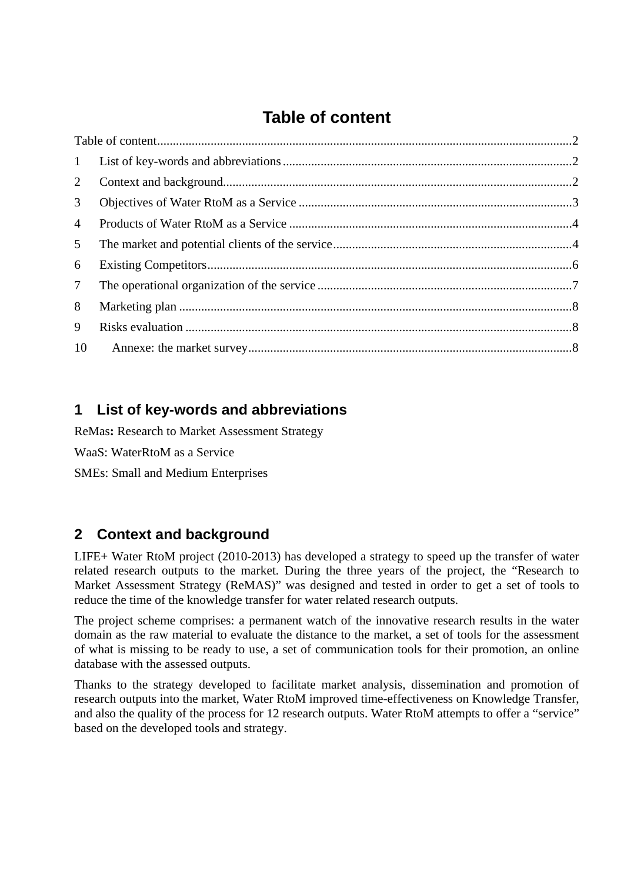# **Table of content**

| 2               |  |
|-----------------|--|
| 3 <sup>1</sup>  |  |
| $\overline{4}$  |  |
| 5 <sup>5</sup>  |  |
| 6               |  |
| $7\overline{ }$ |  |
| 8               |  |
| 9               |  |
|                 |  |

## **1 List of key-words and abbreviations**

ReMas**:** Research to Market Assessment Strategy

WaaS: WaterRtoM as a Service

SMEs: Small and Medium Enterprises

## **2 Context and background**

LIFE+ Water RtoM project (2010-2013) has developed a strategy to speed up the transfer of water related research outputs to the market. During the three years of the project, the "Research to Market Assessment Strategy (ReMAS)" was designed and tested in order to get a set of tools to reduce the time of the knowledge transfer for water related research outputs.

The project scheme comprises: a permanent watch of the innovative research results in the water domain as the raw material to evaluate the distance to the market, a set of tools for the assessment of what is missing to be ready to use, a set of communication tools for their promotion, an online database with the assessed outputs.

Thanks to the strategy developed to facilitate market analysis, dissemination and promotion of research outputs into the market, Water RtoM improved time-effectiveness on Knowledge Transfer, and also the quality of the process for 12 research outputs. Water RtoM attempts to offer a "service" based on the developed tools and strategy.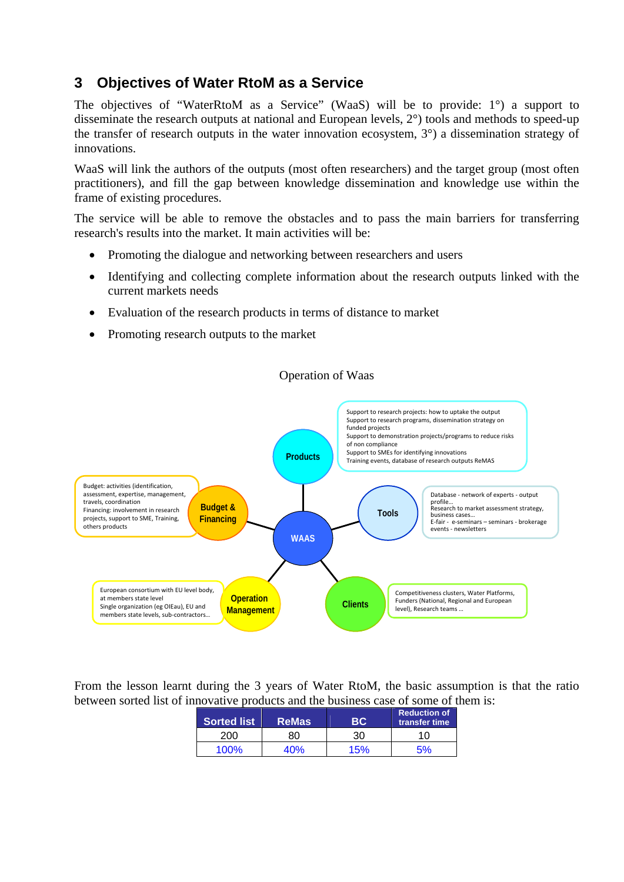#### **3 Objectives of Water RtoM as a Service**

The objectives of "WaterRtoM as a Service" (WaaS) will be to provide: 1°) a support to disseminate the research outputs at national and European levels, 2°) tools and methods to speed-up the transfer of research outputs in the water innovation ecosystem, 3°) a dissemination strategy of innovations.

WaaS will link the authors of the outputs (most often researchers) and the target group (most often practitioners), and fill the gap between knowledge dissemination and knowledge use within the frame of existing procedures.

The service will be able to remove the obstacles and to pass the main barriers for transferring research's results into the market. It main activities will be:

- Promoting the dialogue and networking between researchers and users
- Identifying and collecting complete information about the research outputs linked with the current markets needs
- Evaluation of the research products in terms of distance to market
- Promoting research outputs to the market

**Budget & Financing**

European consortium with EU level body,

Single organization (eg OIEau), EU and members state levels, sub-contractors..

at members state level

assessment, expertise, management,

Financing: involvement in research projects, support to SME, Training,

travels, coordination

others products

**Operation**



#### Operation of Waas

**Tools**

Database ‐ network of experts ‐ output profile...<br>profile...<br>Research to market assessment strategy, Research to market assessment strategy, business cases… E‐fair ‐ e‐seminars – seminars ‐ brokerage

events ‐ newsletters

Competitiveness clusters, Water Platforms, Funders (National, Regional and European

level), Research teams …

From the lesson learnt during the 3 years of Water RtoM, the basic assumption is that the ratio between sorted list of innovative products and the business case of some of them is:

**Management Clients** 

**WAAS**

| <b>Sorted list</b> | <b>ReMas</b> |    | <b>Reduction of</b><br>transfer time |
|--------------------|--------------|----|--------------------------------------|
|                    | 8۲           | 30 | 10                                   |
| טו זו ז            |              |    |                                      |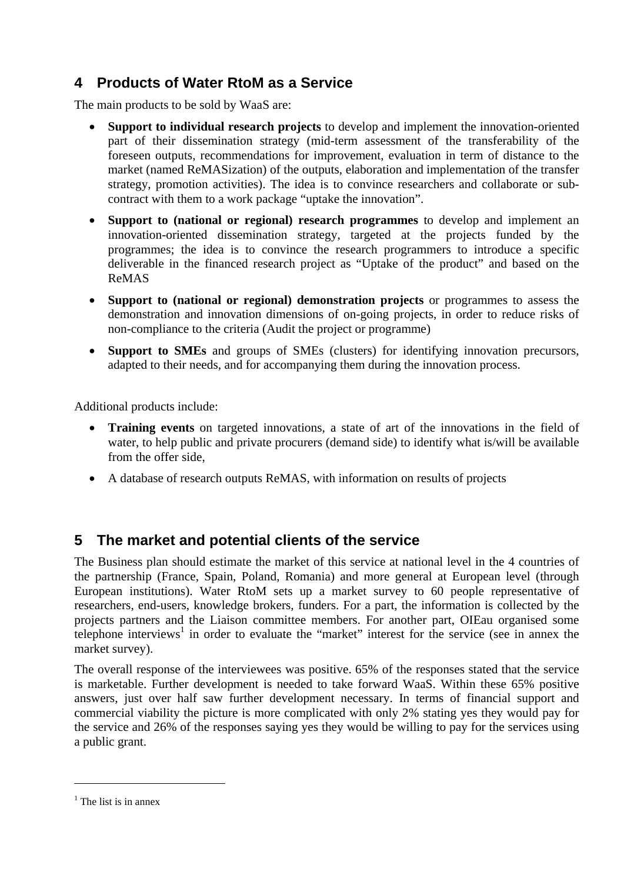### **4 Products of Water RtoM as a Service**

The main products to be sold by WaaS are:

- **Support to individual research projects** to develop and implement the innovation-oriented part of their dissemination strategy (mid-term assessment of the transferability of the foreseen outputs, recommendations for improvement, evaluation in term of distance to the market (named ReMASization) of the outputs, elaboration and implementation of the transfer strategy, promotion activities). The idea is to convince researchers and collaborate or subcontract with them to a work package "uptake the innovation".
- **Support to (national or regional) research programmes** to develop and implement an innovation-oriented dissemination strategy, targeted at the projects funded by the programmes; the idea is to convince the research programmers to introduce a specific deliverable in the financed research project as "Uptake of the product" and based on the ReMAS
- **Support to (national or regional) demonstration projects** or programmes to assess the demonstration and innovation dimensions of on-going projects, in order to reduce risks of non-compliance to the criteria (Audit the project or programme)
- **Support to SMEs** and groups of SMEs (clusters) for identifying innovation precursors, adapted to their needs, and for accompanying them during the innovation process.

Additional products include:

- **Training events** on targeted innovations, a state of art of the innovations in the field of water, to help public and private procurers (demand side) to identify what is/will be available from the offer side,
- A database of research outputs ReMAS, with information on results of projects

#### **5 The market and potential clients of the service**

The Business plan should estimate the market of this service at national level in the 4 countries of the partnership (France, Spain, Poland, Romania) and more general at European level (through European institutions). Water RtoM sets up a market survey to 60 people representative of researchers, end-users, knowledge brokers, funders. For a part, the information is collected by the projects partners and the Liaison committee members. For another part, OIEau organised some telephone interviews<sup>1</sup> in order to evaluate the "market" interest for the service (see in annex the market survey).

The overall response of the interviewees was positive. 65% of the responses stated that the service is marketable. Further development is needed to take forward WaaS. Within these 65% positive answers, just over half saw further development necessary. In terms of financial support and commercial viability the picture is more complicated with only 2% stating yes they would pay for the service and 26% of the responses saying yes they would be willing to pay for the services using a public grant.

1

<sup>&</sup>lt;sup>1</sup> The list is in annex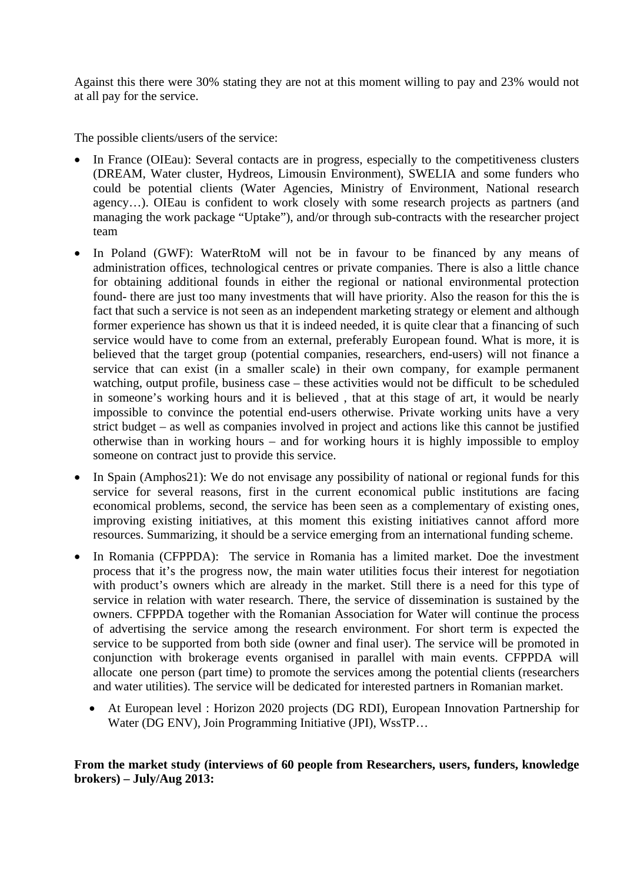Against this there were 30% stating they are not at this moment willing to pay and 23% would not at all pay for the service.

The possible clients/users of the service:

- In France (OIEau): Several contacts are in progress, especially to the competitiveness clusters (DREAM, Water cluster, Hydreos, Limousin Environment), SWELIA and some funders who could be potential clients (Water Agencies, Ministry of Environment, National research agency…). OIEau is confident to work closely with some research projects as partners (and managing the work package "Uptake"), and/or through sub-contracts with the researcher project team
- In Poland (GWF): WaterRtoM will not be in favour to be financed by any means of administration offices, technological centres or private companies. There is also a little chance for obtaining additional founds in either the regional or national environmental protection found- there are just too many investments that will have priority. Also the reason for this the is fact that such a service is not seen as an independent marketing strategy or element and although former experience has shown us that it is indeed needed, it is quite clear that a financing of such service would have to come from an external, preferably European found. What is more, it is believed that the target group (potential companies, researchers, end-users) will not finance a service that can exist (in a smaller scale) in their own company, for example permanent watching, output profile, business case – these activities would not be difficult to be scheduled in someone's working hours and it is believed , that at this stage of art, it would be nearly impossible to convince the potential end-users otherwise. Private working units have a very strict budget – as well as companies involved in project and actions like this cannot be justified otherwise than in working hours – and for working hours it is highly impossible to employ someone on contract just to provide this service.
- In Spain (Amphos21): We do not envisage any possibility of national or regional funds for this service for several reasons, first in the current economical public institutions are facing economical problems, second, the service has been seen as a complementary of existing ones, improving existing initiatives, at this moment this existing initiatives cannot afford more resources. Summarizing, it should be a service emerging from an international funding scheme.
- In Romania (CFPPDA): The service in Romania has a limited market. Doe the investment process that it's the progress now, the main water utilities focus their interest for negotiation with product's owners which are already in the market. Still there is a need for this type of service in relation with water research. There, the service of dissemination is sustained by the owners. CFPPDA together with the Romanian Association for Water will continue the process of advertising the service among the research environment. For short term is expected the service to be supported from both side (owner and final user). The service will be promoted in conjunction with brokerage events organised in parallel with main events. CFPPDA will allocate one person (part time) to promote the services among the potential clients (researchers and water utilities). The service will be dedicated for interested partners in Romanian market.
	- At European level : Horizon 2020 projects (DG RDI), European Innovation Partnership for Water (DG ENV), Join Programming Initiative (JPI), WssTP…

#### **From the market study (interviews of 60 people from Researchers, users, funders, knowledge brokers) – July/Aug 2013:**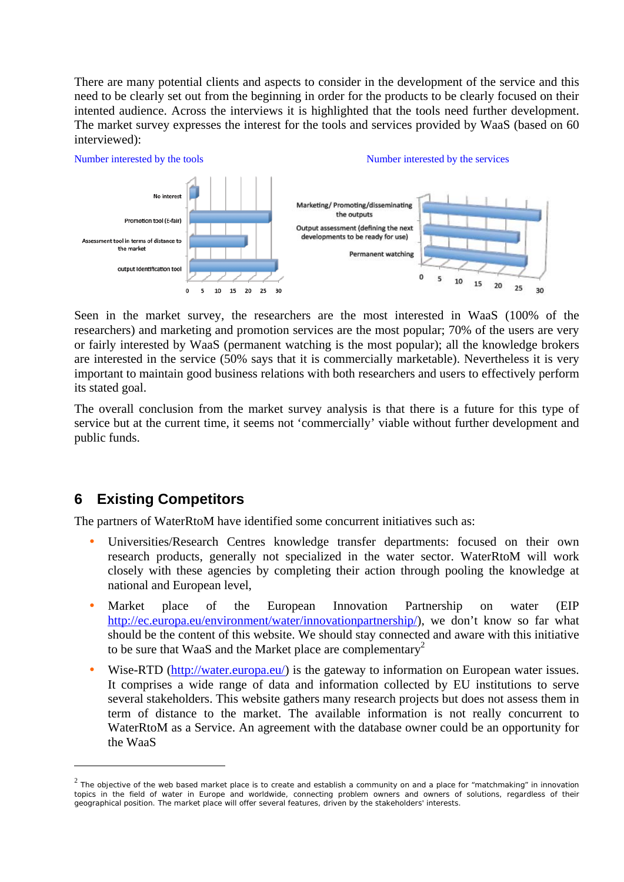There are many potential clients and aspects to consider in the development of the service and this need to be clearly set out from the beginning in order for the products to be clearly focused on their intented audience. Across the interviews it is highlighted that the tools need further development. The market survey expresses the interest for the tools and services provided by WaaS (based on 60 interviewed):



Seen in the market survey, the researchers are the most interested in WaaS (100% of the researchers) and marketing and promotion services are the most popular; 70% of the users are very or fairly interested by WaaS (permanent watching is the most popular); all the knowledge brokers are interested in the service (50% says that it is commercially marketable). Nevertheless it is very important to maintain good business relations with both researchers and users to effectively perform its stated goal.

The overall conclusion from the market survey analysis is that there is a future for this type of service but at the current time, it seems not 'commercially' viable without further development and public funds.

### **6 Existing Competitors**

1

The partners of WaterRtoM have identified some concurrent initiatives such as:

- Universities/Research Centres knowledge transfer departments: focused on their own research products, generally not specialized in the water sector. WaterRtoM will work closely with these agencies by completing their action through pooling the knowledge at national and European level,
- Market place of the European Innovation Partnership on water (EIP http://ec.europa.eu/environment/water/innovationpartnership/), we don't know so far what should be the content of this website. We should stay connected and aware with this initiative to be sure that WaaS and the Market place are complementary<sup>2</sup>
- Wise-RTD (http://water.europa.eu/) is the gateway to information on European water issues. It comprises a wide range of data and information collected by EU institutions to serve several stakeholders. This website gathers many research projects but does not assess them in term of distance to the market. The available information is not really concurrent to WaterRtoM as a Service. An agreement with the database owner could be an opportunity for the WaaS

 $2$  The objective of the web based market place is to create and establish a community on and a place for "matchmaking" in innovation topics in the field of water in Europe and worldwide, connecting problem owners and owners of solutions, regardless of their geographical position. The market place will offer several features, driven by the stakeholders' interests.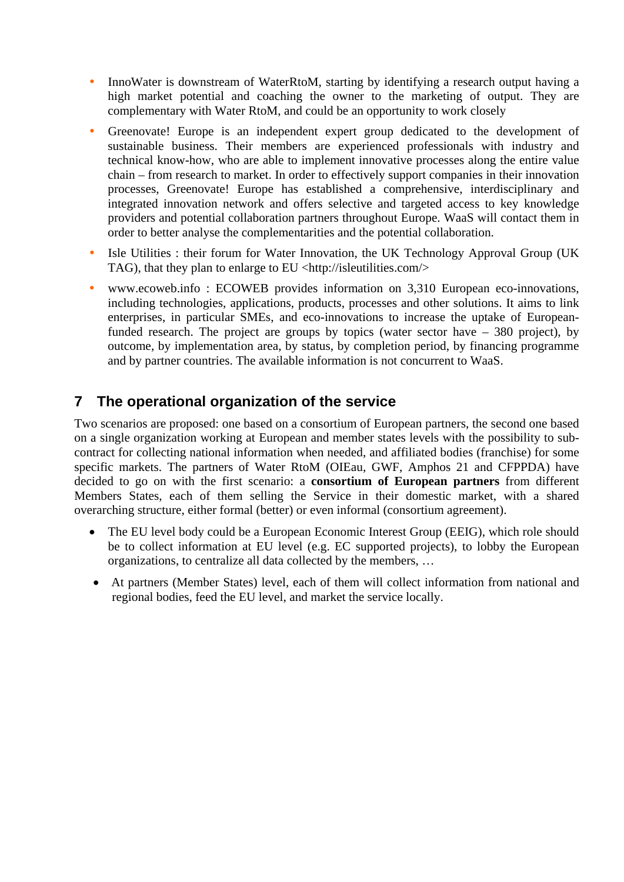- InnoWater is downstream of WaterRtoM, starting by identifying a research output having a high market potential and coaching the owner to the marketing of output. They are complementary with Water RtoM, and could be an opportunity to work closely
- Greenovate! Europe is an independent expert group dedicated to the development of sustainable business. Their members are experienced professionals with industry and technical know-how, who are able to implement innovative processes along the entire value chain – from research to market. In order to effectively support companies in their innovation processes, Greenovate! Europe has established a comprehensive, interdisciplinary and integrated innovation network and offers selective and targeted access to key knowledge providers and potential collaboration partners throughout Europe. WaaS will contact them in order to better analyse the complementarities and the potential collaboration.
- Isle Utilities : their forum for Water Innovation, the UK Technology Approval Group (UK TAG), that they plan to enlarge to EU <http://isleutilities.com/>
- www.ecoweb.info : ECOWEB provides information on 3,310 European eco-innovations, including technologies, applications, products, processes and other solutions. It aims to link enterprises, in particular SMEs, and eco-innovations to increase the uptake of Europeanfunded research. The project are groups by topics (water sector have – 380 project), by outcome, by implementation area, by status, by completion period, by financing programme and by partner countries. The available information is not concurrent to WaaS.

### **7 The operational organization of the service**

Two scenarios are proposed: one based on a consortium of European partners, the second one based on a single organization working at European and member states levels with the possibility to subcontract for collecting national information when needed, and affiliated bodies (franchise) for some specific markets. The partners of Water RtoM (OIEau, GWF, Amphos 21 and CFPPDA) have decided to go on with the first scenario: a **consortium of European partners** from different Members States, each of them selling the Service in their domestic market, with a shared overarching structure, either formal (better) or even informal (consortium agreement).

- The EU level body could be a European Economic Interest Group (EEIG), which role should be to collect information at EU level (e.g. EC supported projects), to lobby the European organizations, to centralize all data collected by the members, …
- At partners (Member States) level, each of them will collect information from national and regional bodies, feed the EU level, and market the service locally.